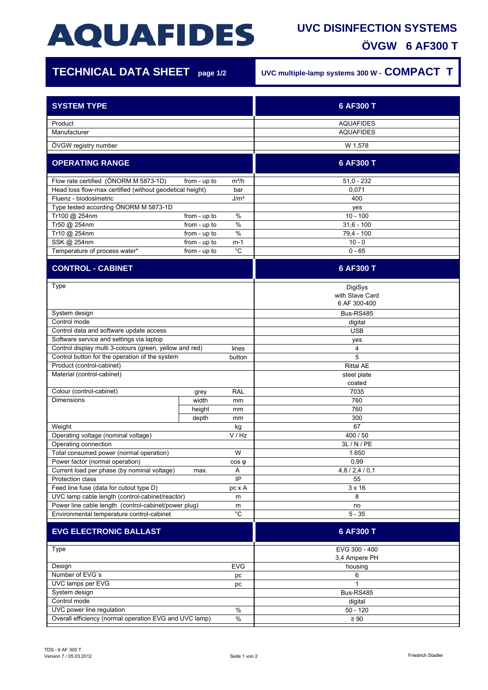# **AQUAFIDES**

### **UVC DISINFECTION SYSTEMS ÖVGW 6 AF300 T**

| <b>TECHNICAL DATA SHEET</b> page 1/2                                                              |               |                  | UVC multiple-lamp systems 300 W - COMPACT T |
|---------------------------------------------------------------------------------------------------|---------------|------------------|---------------------------------------------|
| <b>SYSTEM TYPE</b>                                                                                |               |                  | 6 AF300 T                                   |
| Product<br>Manufacturer                                                                           |               |                  | <b>AQUAFIDES</b><br><b>AQUAFIDES</b>        |
| ÖVGW registry number                                                                              |               |                  | W 1.578                                     |
| <b>OPERATING RANGE</b>                                                                            |               |                  | 6 AF300 T                                   |
| Flow rate certified (ÖNORM M 5873-1D)<br>Head loss flow-max certified (without geodetical height) | from - up to  | $m^3/h$<br>bar   | $51,0 - 232$<br>0,071                       |
| Fluenz - biodosimetric<br>Type tested according ÖNORM M 5873-1D                                   |               | J/m <sup>2</sup> | 400                                         |
| Tr100 @ 254nm                                                                                     | from - up to  | %                | yes<br>$10 - 100$                           |
| Tr50 @ 254nm                                                                                      | from - up to  | $\%$             | $31,6 - 100$                                |
| Tr10 @ 254nm                                                                                      | from - up to  | $\%$             | 79,4 - 100                                  |
| SSK @ 254nm                                                                                       | from - up to  | m-1              | $10 - 0$                                    |
| Temperature of process water*                                                                     | from - up to  | $^{\circ}C$      | $0 - 65$                                    |
| <b>CONTROL - CABINET</b>                                                                          |               |                  | 6 AF300 T                                   |
| Type                                                                                              |               |                  | DigiSys<br>with Slave Card<br>6 AF 300-400  |
| System design                                                                                     |               |                  | Bus-RS485                                   |
| Control mode                                                                                      |               |                  | digital<br><b>USB</b>                       |
| Control data and software update access<br>Software service and settings via laptop               |               |                  | yes                                         |
| Control display multi 3-colours (green, yellow and red)<br>lines                                  |               |                  | 4                                           |
| Control button for the operation of the system<br>button                                          |               |                  | 5                                           |
| Product (control-cabinet)                                                                         |               |                  | <b>Rittal AE</b>                            |
| Material (control-cabinet)                                                                        |               |                  | steel plate<br>coated                       |
| Colour (control-cabinet)<br><b>Dimensions</b>                                                     | grey<br>width | RAL              | 7035<br>760                                 |
|                                                                                                   | height        | mm<br>mm         | 760                                         |
|                                                                                                   | depth         | mm               | 300                                         |
| Weight                                                                                            |               | kg               | 67                                          |
| V / Hz<br>Operating voltage (nominal voltage)<br>Operating connection                             |               |                  | 400 / 50<br>3L / N / PE                     |
| Total consumed power (normal operation)<br>W                                                      |               |                  | 1.650                                       |
| Power factor (normal operation)<br>$cos \varphi$                                                  |               |                  | 0,99                                        |
| Current load per phase (by nominal voltage)<br>Α<br>max.<br>IP<br>Protection class                |               |                  | 4,8/2,4/0,1<br>55                           |
| Feed line fuse (data for cutout type D)<br>pc x A                                                 |               | $3 \times 16$    |                                             |
| UVC lamp cable length (control-cabinet/reactor)<br>m                                              |               |                  | 8                                           |
| Power line cable length (control-cabinet/power plug)<br>m                                         |               |                  | no                                          |
| Environmental temperature control-cabinet                                                         |               | $^{\circ}$ C     | $5 - 35$                                    |
| <b>EVG ELECTRONIC BALLAST</b>                                                                     |               |                  | 6 AF300 T                                   |
| Type                                                                                              |               |                  | EVG 300 - 400<br>3,4 Ampere PH              |
| Design                                                                                            |               | <b>EVG</b>       | housing                                     |
| Number of EVG's<br>pc                                                                             |               |                  | 6<br>1                                      |
| UVC lamps per EVG<br>рc<br>System design                                                          |               | Bus-RS485        |                                             |
| Control mode                                                                                      |               | digital          |                                             |
| UVC power line regulation<br>$\%$                                                                 |               | $50 - 120$       |                                             |

Overall efficiency (normal operation EVG and UVC lamp)  $\frac{9}{2}$  %  $\geq 90$